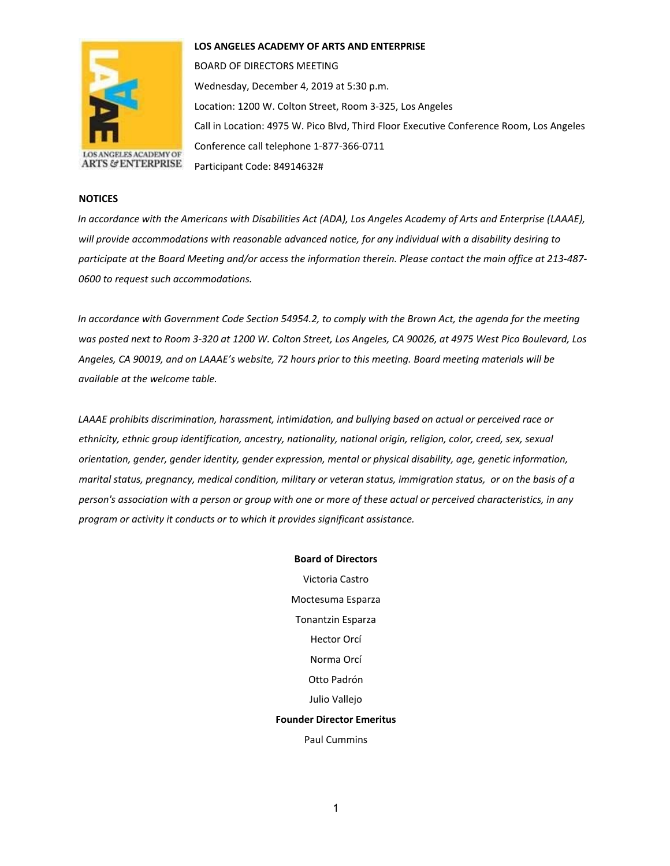

**LOS ANGELES ACADEMY OF ARTS AND ENTERPRISE** 

BOARD OF DIRECTORS MEETING Wednesday, December 4, 2019 at 5:30 p.m. Location: 1200 W. Colton Street, Room 3-325, Los Angeles Call in Location: 4975 W. Pico Blvd, Third Floor Executive Conference Room, Los Angeles Conference call telephone 1-877-366-0711 Participant Code: 84914632#

## **NOTICES**

*In accordance with the Americans with Disabilities Act (ADA), Los Angeles Academy of Arts and Enterprise (LAAAE), will provide accommodations with reasonable advanced notice, for any individual with a disability desiring to participate at the Board Meeting and/or access the information therein. Please contact the main office at 213-487- 0600 to request such accommodations.* 

*In accordance with Government Code Section 54954.2, to comply with the Brown Act, the agenda for the meeting was posted next to Room 3-320 at 1200 W. Colton Street, Los Angeles, CA 90026, at 4975 West Pico Boulevard, Los Angeles, CA 90019, and on LAAAE's website, 72 hours prior to this meeting. Board meeting materials will be available at the welcome table.* 

*LAAAE prohibits discrimination, harassment, intimidation, and bullying based on actual or perceived race or ethnicity, ethnic group identification, ancestry, nationality, national origin, religion, color, creed, sex, sexual orientation, gender, gender identity, gender expression, mental or physical disability, age, genetic information, marital status, pregnancy, medical condition, military or veteran status, immigration status, or on the basis of a person's association with a person or group with one or more of these actual or perceived characteristics, in any program or activity it conducts or to which it provides significant assistance.* 

> **Board of Directors** Victoria Castro Moctesuma Esparza Tonantzin Esparza Hector Orcí Norma Orcí Otto Padrón Julio Vallejo **Founder Director Emeritus**  Paul Cummins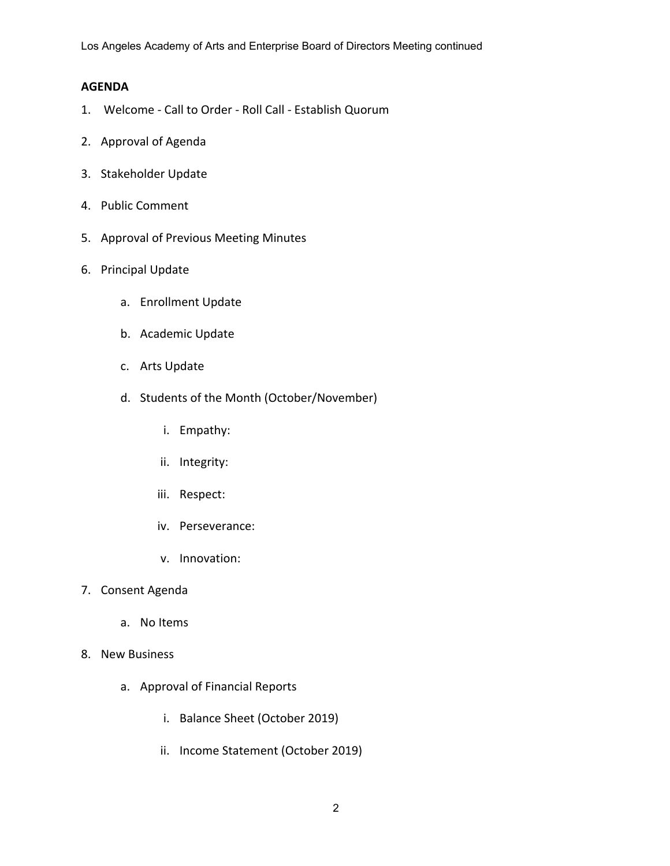Los Angeles Academy of Arts and Enterprise Board of Directors Meeting continued

## **AGENDA**

- 1. Welcome Call to Order Roll Call Establish Quorum
- 2. Approval of Agenda
- 3. Stakeholder Update
- 4. Public Comment
- 5. Approval of Previous Meeting Minutes
- 6. Principal Update
	- a. Enrollment Update
	- b. Academic Update
	- c. Arts Update
	- d. Students of the Month (October/November)
		- i. Empathy:
		- ii. Integrity:
		- iii. Respect:
		- iv. Perseverance:
		- v. Innovation:
- 7. Consent Agenda
	- a. No Items
- 8. New Business
	- a. Approval of Financial Reports
		- i. Balance Sheet (October 2019)
		- ii. Income Statement (October 2019)